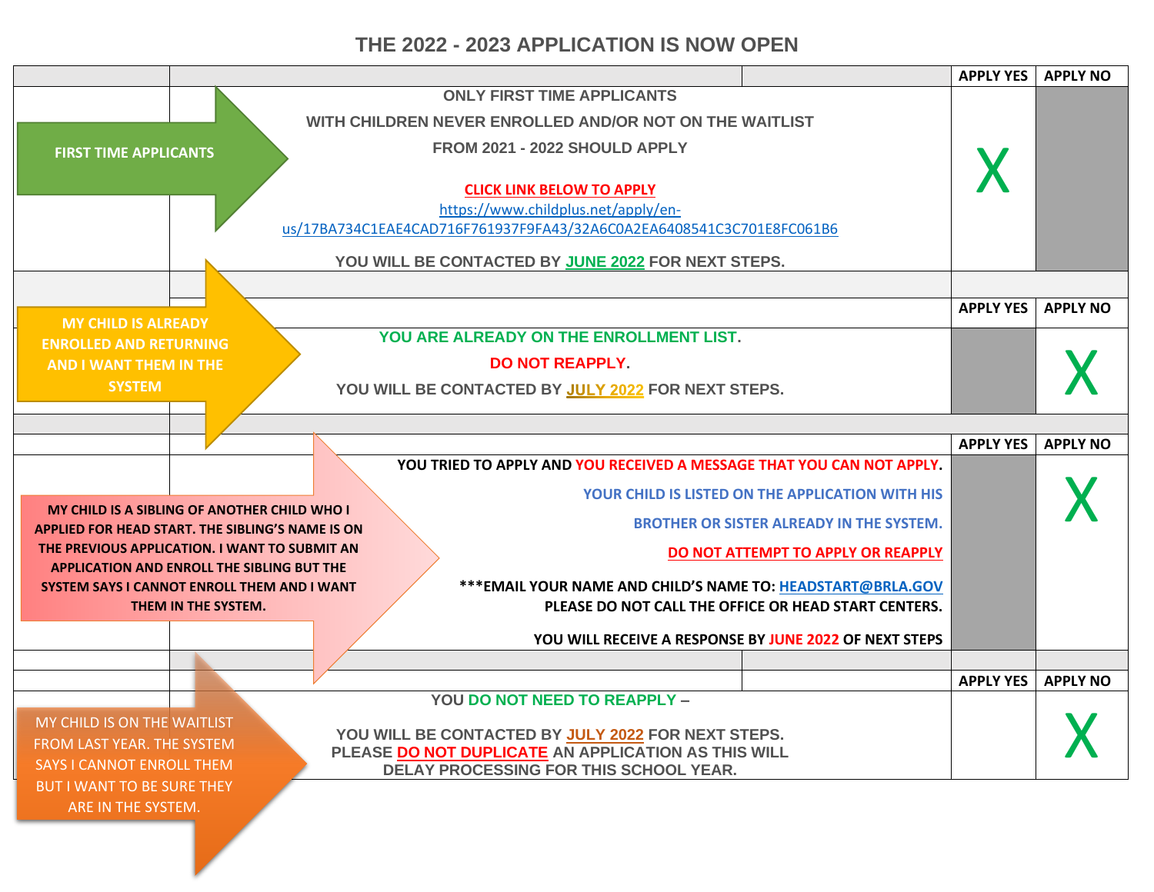## **THE 2022 - 2023 APPLICATION IS NOW OPEN**

|                                                                                                                                          | <b>APPLY YES</b> | <b>APPLY NO</b> |
|------------------------------------------------------------------------------------------------------------------------------------------|------------------|-----------------|
| <b>ONLY FIRST TIME APPLICANTS</b>                                                                                                        |                  |                 |
| WITH CHILDREN NEVER ENROLLED AND/OR NOT ON THE WAITLIST                                                                                  |                  |                 |
| FROM 2021 - 2022 SHOULD APPLY<br><b>FIRST TIME APPLICANTS</b>                                                                            |                  |                 |
|                                                                                                                                          |                  |                 |
| <b>CLICK LINK BELOW TO APPLY</b>                                                                                                         |                  |                 |
| https://www.childplus.net/apply/en-                                                                                                      |                  |                 |
| us/17BA734C1EAE4CAD716F761937F9FA43/32A6C0A2EA6408541C3C701E8FC061B6                                                                     |                  |                 |
| YOU WILL BE CONTACTED BY JUNE 2022 FOR NEXT STEPS.                                                                                       |                  |                 |
|                                                                                                                                          |                  |                 |
|                                                                                                                                          | <b>APPLY YES</b> | <b>APPLY NO</b> |
| <b>MY CHILD IS ALREADY</b><br>YOU ARE ALREADY ON THE ENROLLMENT LIST.<br><b>ENROLLED AND RETURNING</b>                                   |                  |                 |
| <b>DO NOT REAPPLY.</b><br><b>AND I WANT THEM IN THE</b>                                                                                  |                  |                 |
| <b>SYSTEM</b><br>YOU WILL BE CONTACTED BY JULY 2022 FOR NEXT STEPS.                                                                      |                  |                 |
|                                                                                                                                          |                  |                 |
|                                                                                                                                          |                  |                 |
| YOU TRIED TO APPLY AND YOU RECEIVED A MESSAGE THAT YOU CAN NOT APPLY.                                                                    | <b>APPLY YES</b> | <b>APPLY NO</b> |
|                                                                                                                                          |                  |                 |
| <b>YOUR CHILD IS LISTED ON THE APPLICATION WITH HIS</b><br>MY CHILD IS A SIBLING OF ANOTHER CHILD WHO I                                  |                  |                 |
| <b>BROTHER OR SISTER ALREADY IN THE SYSTEM.</b><br>APPLIED FOR HEAD START. THE SIBLING'S NAME IS ON                                      |                  |                 |
| THE PREVIOUS APPLICATION. I WANT TO SUBMIT AN<br>DO NOT ATTEMPT TO APPLY OR REAPPLY                                                      |                  |                 |
| <b>APPLICATION AND ENROLL THE SIBLING BUT THE</b>                                                                                        |                  |                 |
| *** EMAIL YOUR NAME AND CHILD'S NAME TO: HEADSTART@BRLA.GOV<br><b>SYSTEM SAYS I CANNOT ENROLL THEM AND I WANT</b><br>THEM IN THE SYSTEM. |                  |                 |
| PLEASE DO NOT CALL THE OFFICE OR HEAD START CENTERS.                                                                                     |                  |                 |
| YOU WILL RECEIVE A RESPONSE BY JUNE 2022 OF NEXT STEPS                                                                                   |                  |                 |
|                                                                                                                                          |                  |                 |
| YOU DO NOT NEED TO REAPPLY -                                                                                                             | <b>APPLY YES</b> | <b>APPLY NO</b> |
| MY CHILD IS ON THE WAITLIST                                                                                                              |                  |                 |
| YOU WILL BE CONTACTED BY JULY 2022 FOR NEXT STEPS.<br>FROM LAST YEAR. THE SYSTEM                                                         |                  |                 |
| PLEASE DO NOT DUPLICATE AN APPLICATION AS THIS WILL<br><b>SAYS I CANNOT ENROLL THEM</b><br>DELAY PROCESSING FOR THIS SCHOOL YEAR.        |                  |                 |
| <b>BUT I WANT TO BE SURE THEY</b>                                                                                                        |                  |                 |
| ARE IN THE SYSTEM.                                                                                                                       |                  |                 |